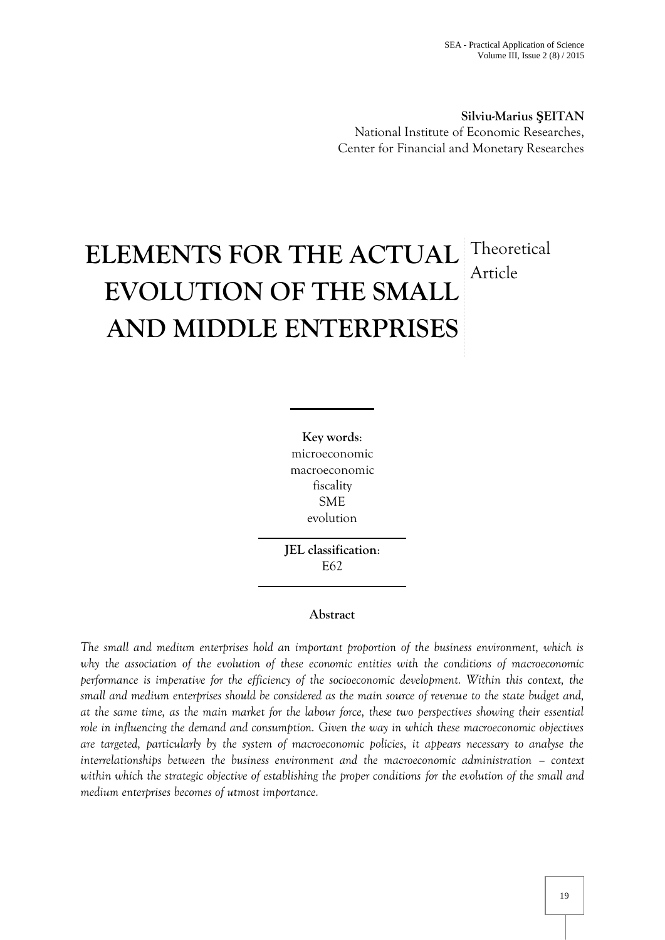**Silviu-Marius EITAN** National Institute of Economic Researches, Center for Financial and Monetary Researches

# **ELEMENTS FOR THE ACTUAL EVOLUTION OF THE SMALL AND MIDDLE ENTERPRISES Theoretical** Article

**Key words**: microeconomic macroeconomic fiscality SME evolution

**JEL classification**: E62

# **Abstract**

*The small and medium enterprises hold an important proportion of the business environment, which is why the association of the evolution of these economic entities with the conditions of macroeconomic performance is imperative for the efficiency of the socioeconomic development. Within this context, the small and medium enterprises should be considered as the main source of revenue to the state budget and, at the same time, as the main market for the labour force, these two perspectives showing their essential role in influencing the demand and consumption. Given the way in which these macroeconomic objectives are targeted, particularly by the system of macroeconomic policies, it appears necessary to analyse the interrelationships between the business environment and the macroeconomic administration – context within which the strategic objective of establishing the proper conditions for the evolution of the small and medium enterprises becomes of utmost importance.*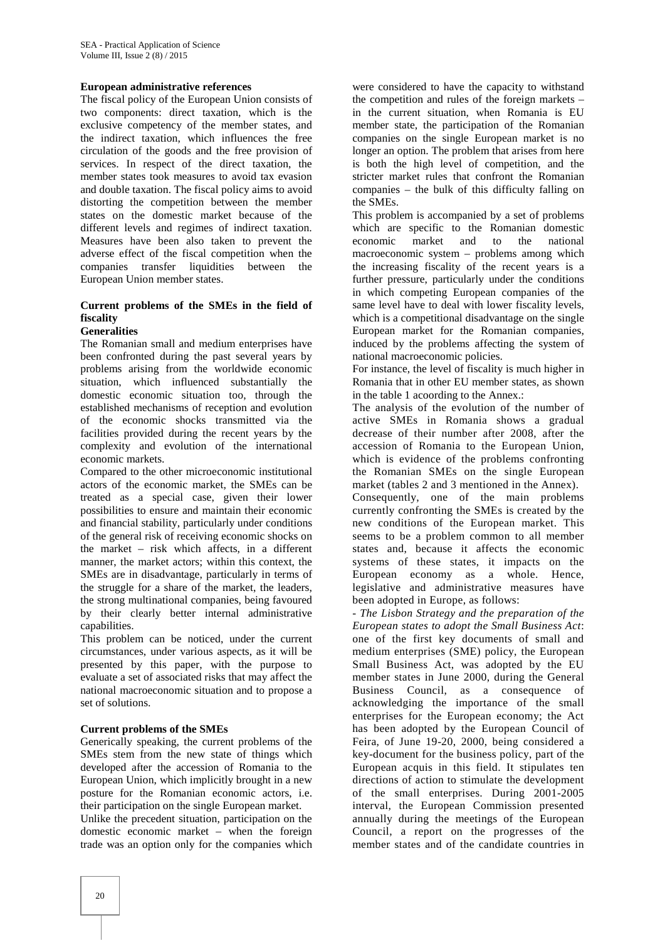#### **European administrative references**

The fiscal policy of the European Union consists of two components: direct taxation, which is the exclusive competency of the member states, and the indirect taxation, which influences the free circulation of the goods and the free provision of services. In respect of the direct taxation, the member states took measures to avoid tax evasion and double taxation. The fiscal policy aims to avoid distorting the competition between the member states on the domestic market because of the different levels and regimes of indirect taxation. Measures have been also taken to prevent the adverse effect of the fiscal competition when the companies transfer liquidities between the European Union member states.

# **Current problems of the SMEs in the field of fiscality**

#### **Generalities**

The Romanian small and medium enterprises have been confronted during the past several years by problems arising from the worldwide economic situation, which influenced substantially the domestic economic situation too, through the established mechanisms of reception and evolution of the economic shocks transmitted via the facilities provided during the recent years by the complexity and evolution of the international economic markets.

Compared to the other microeconomic institutional actors of the economic market, the SMEs can be treated as a special case, given their lower possibilities to ensure and maintain their economic and financial stability, particularly under conditions of the general risk of receiving economic shocks on the market – risk which affects, in a different manner, the market actors; within this context, the SMEs are in disadvantage, particularly in terms of the struggle for a share of the market, the leaders, the strong multinational companies, being favoured by their clearly better internal administrative capabilities.

This problem can be noticed, under the current circumstances, under various aspects, as it will be presented by this paper, with the purpose to evaluate a set of associated risks that may affect the national macroeconomic situation and to propose a set of solutions.

#### **Current problems of the SMEs**

Generically speaking, the current problems of the SMEs stem from the new state of things which developed after the accession of Romania to the European Union, which implicitly brought in a new posture for the Romanian economic actors, i.e. their participation on the single European market.

Unlike the precedent situation, participation on the domestic economic market – when the foreign trade was an option only for the companies which were considered to have the capacity to withstand the competition and rules of the foreign markets – in the current situation, when Romania is EU member state, the participation of the Romanian companies on the single European market is no longer an option. The problem that arises from here is both the high level of competition, and the stricter market rules that confront the Romanian companies – the bulk of this difficulty falling on the SMEs.

This problem is accompanied by a set of problems which are specific to the Romanian domestic economic market and to the national macroeconomic system – problems among which the increasing fiscality of the recent years is a further pressure, particularly under the conditions in which competing European companies of the same level have to deal with lower fiscality levels, which is a competitional disadvantage on the single European market for the Romanian companies, induced by the problems affecting the system of national macroeconomic policies.

For instance, the level of fiscality is much higher in Romania that in other EU member states, as shown in the table 1 acoording to the Annex.:

The analysis of the evolution of the number of active SMEs in Romania shows a gradual decrease of their number after 2008, after the accession of Romania to the European Union, which is evidence of the problems confronting the Romanian SMEs on the single European market (tables 2 and 3 mentioned in the Annex). Consequently, one of the main problems currently confronting the SMEs is created by the new conditions of the European market. This seems to be a problem common to all member states and, because it affects the economic systems of these states, it impacts on the European economy as a whole. Hence, legislative and administrative measures have been adopted in Europe, as follows:

- *The Lisbon Strategy and the preparation of the European states to adopt the Small Business Act*: one of the first key documents of small and medium enterprises (SME) policy, the European Small Business Act, was adopted by the EU member states in June 2000, during the General Business Council, as a consequence of acknowledging the importance of the small enterprises for the European economy; the Act has been adopted by the European Council of Feira, of June 19-20, 2000, being considered a key-document for the business policy, part of the European acquis in this field. It stipulates ten directions of action to stimulate the development of the small enterprises. During 2001-2005 interval, the European Commission presented annually during the meetings of the European Council, a report on the progresses of the member states and of the candidate countries in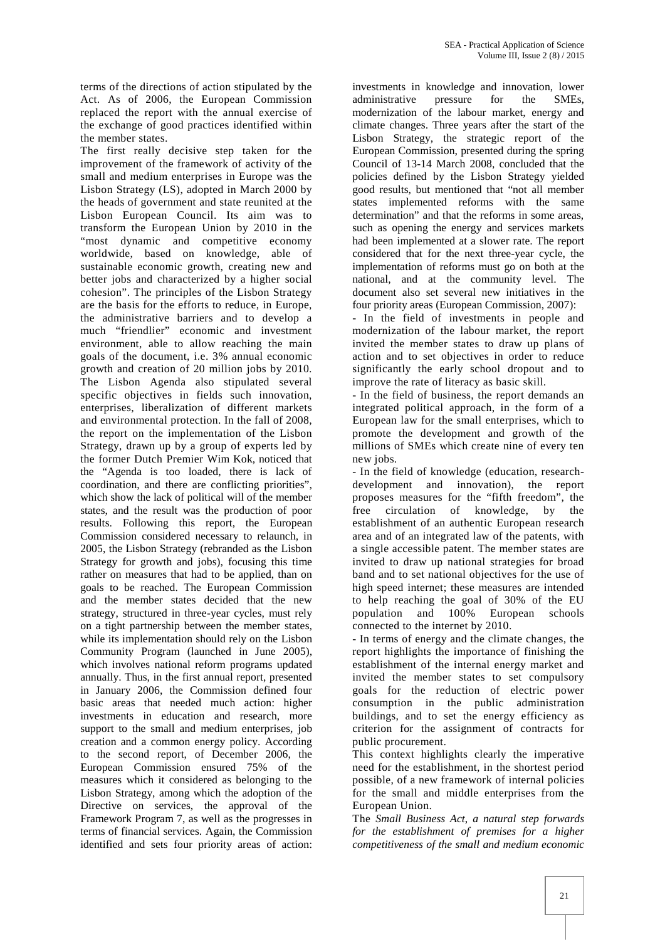terms of the directions of action stipulated by the Act. As of 2006, the European Commission replaced the report with the annual exercise of the exchange of good practices identified within the member states.

The first really decisive step taken for the improvement of the framework of activity of the small and medium enterprises in Europe was the Lisbon Strategy (LS), adopted in March 2000 by the heads of government and state reunited at the Lisbon European Council. Its aim was to transform the European Union by 2010 in the "most dynamic and competitive economy worldwide, based on knowledge, able of sustainable economic growth, creating new and better jobs and characterized by a higher social cohesion". The principles of the Lisbon Strategy are the basis for the efforts to reduce, in Europe, the administrative barriers and to develop a much "friendlier" economic and investment environment, able to allow reaching the main goals of the document, i.e. 3% annual economic growth and creation of 20 million jobs by 2010. The Lisbon Agenda also stipulated several specific objectives in fields such innovation, enterprises, liberalization of different markets and environmental protection. In the fall of 2008, the report on the implementation of the Lisbon Strategy, drawn up by a group of experts led by the former Dutch Premier Wim Kok, noticed that the "Agenda is too loaded, there is lack of coordination, and there are conflicting priorities", which show the lack of political will of the member states, and the result was the production of poor results. Following this report, the European Commission considered necessary to relaunch, in 2005, the Lisbon Strategy (rebranded as the Lisbon Strategy for growth and jobs), focusing this time rather on measures that had to be applied, than on goals to be reached. The European Commission and the member states decided that the new strategy, structured in three-year cycles, must rely on a tight partnership between the member states, while its implementation should rely on the Lisbon Community Program (launched in June 2005), which involves national reform programs updated annually. Thus, in the first annual report, presented in January 2006, the Commission defined four basic areas that needed much action: higher investments in education and research, more support to the small and medium enterprises, job creation and a common energy policy. According to the second report, of December 2006, the European Commission ensured 75% of the measures which it considered as belonging to the Lisbon Strategy, among which the adoption of the Directive on services, the approval of the Framework Program 7, as well as the progresses in terms of financial services. Again, the Commission identified and sets four priority areas of action:

investments in knowledge and innovation, lower administrative pressure for the SMEs, modernization of the labour market, energy and climate changes. Three years after the start of the Lisbon Strategy, the strategic report of the European Commission, presented during the spring Council of 13-14 March 2008, concluded that the policies defined by the Lisbon Strategy yielded good results, but mentioned that "not all member states implemented reforms with the same determination" and that the reforms in some areas, such as opening the energy and services markets had been implemented at a slower rate. The report considered that for the next three-year cycle, the implementation of reforms must go on both at the national, and at the community level. The document also set several new initiatives in the four priority areas (European Commission, 2007):

- In the field of investments in people and modernization of the labour market, the report invited the member states to draw up plans of action and to set objectives in order to reduce significantly the early school dropout and to improve the rate of literacy as basic skill.

- In the field of business, the report demands an integrated political approach, in the form of a European law for the small enterprises, which to promote the development and growth of the millions of SMEs which create nine of every ten new jobs.

- In the field of knowledge (education, research development and innovation), the report proposes measures for the "fifth freedom", the free circulation of knowledge, by the establishment of an authentic European research area and of an integrated law of the patents, with a single accessible patent. The member states are invited to draw up national strategies for broad band and to set national objectives for the use of high speed internet; these measures are intended to help reaching the goal of 30% of the EU population and 100% European schools connected to the internet by 2010.

- In terms of energy and the climate changes, the report highlights the importance of finishing the establishment of the internal energy market and invited the member states to set compulsory goals for the reduction of electric power consumption in the public administration buildings, and to set the energy efficiency as criterion for the assignment of contracts for public procurement.

This context highlights clearly the imperative need for the establishment, in the shortest period possible, of a new framework of internal policies for the small and middle enterprises from the European Union.

The *Small Business Act*, *a natural step forwards for the establishment of premises for a higher competitiveness of the small and medium economic*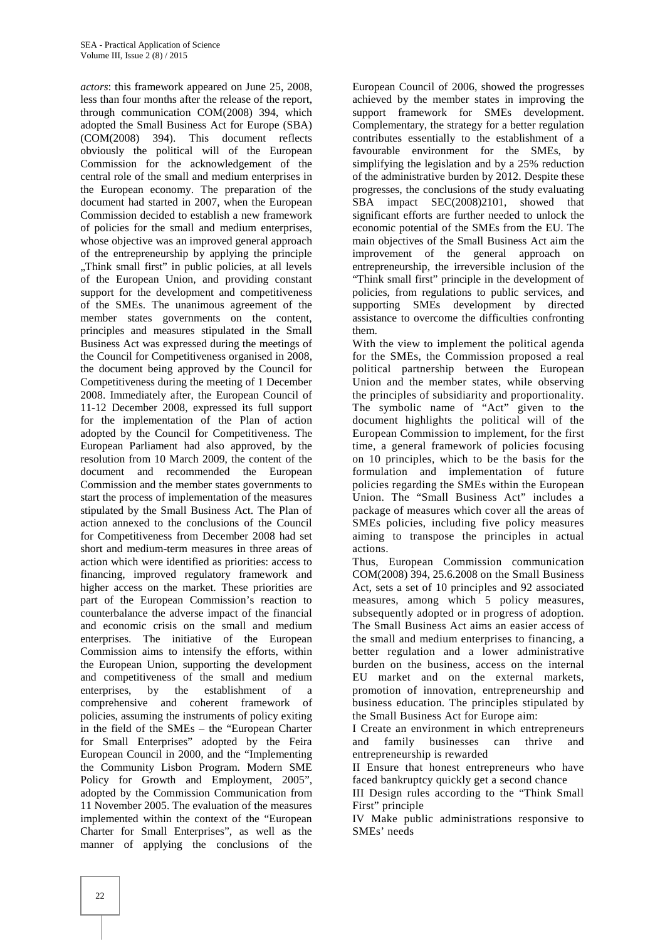*actors*: this framework appeared on June 25, 2008, less than four months after the release of the report, through communication COM(2008) 394, which adopted the Small Business Act for Europe (SBA) (COM(2008) 394). This document reflects obviously the political will of the European Commission for the acknowledgement of the central role of the small and medium enterprises in the European economy. The preparation of the document had started in 2007, when the European Commission decided to establish a new framework of policies for the small and medium enterprises, whose objective was an improved general approach of the entrepreneurship by applying the principle "Think small first" in public policies, at all levels of the European Union, and providing constant support for the development and competitiveness of the SMEs. The unanimous agreement of the member states governments on the content, principles and measures stipulated in the Small Business Act was expressed during the meetings of the Council for Competitiveness organised in 2008, the document being approved by the Council for Competitiveness during the meeting of 1 December 2008. Immediately after, the European Council of 11-12 December 2008, expressed its full support for the implementation of the Plan of action adopted by the Council for Competitiveness. The European Parliament had also approved, by the resolution from 10 March 2009, the content of the document and recommended the European Commission and the member states governments to start the process of implementation of the measures stipulated by the Small Business Act. The Plan of action annexed to the conclusions of the Council for Competitiveness from December 2008 had set short and medium-term measures in three areas of action which were identified as priorities: access to financing, improved regulatory framework and higher access on the market. These priorities are part of the European Commission's reaction to counterbalance the adverse impact of the financial and economic crisis on the small and medium enterprises. The initiative of the European Commission aims to intensify the efforts, within the European Union, supporting the development and competitiveness of the small and medium enterprises, by the establishment of a comprehensive and coherent framework of policies, assuming the instruments of policy exiting in the field of the SMEs – the "European Charter for Small Enterprises" adopted by the Feira European Council in 2000, and the "Implementing the Community Lisbon Program. Modern SME Policy for Growth and Employment, 2005", adopted by the Commission Communication from 11 November 2005. The evaluation of the measures implemented within the context of the "European Charter for Small Enterprises", as well as the manner of applying the conclusions of the

European Council of 2006, showed the progresses achieved by the member states in improving the support framework for SMEs development. Complementary, the strategy for a better regulation contributes essentially to the establishment of a favourable environment for the SMEs, by simplifying the legislation and by a 25% reduction of the administrative burden by 2012. Despite these progresses, the conclusions of the study evaluating SBA impact SEC(2008)2101, showed that significant efforts are further needed to unlock the economic potential of the SMEs from the EU. The main objectives of the Small Business Act aim the improvement of the general approach on entrepreneurship, the irreversible inclusion of the "Think small first" principle in the development of policies, from regulations to public services, and supporting SMEs development by directed assistance to overcome the difficulties confronting them.

With the view to implement the political agenda for the SMEs, the Commission proposed a real political partnership between the European Union and the member states, while observing the principles of subsidiarity and proportionality. The symbolic name of "Act" given to the document highlights the political will of the European Commission to implement, for the first time, a general framework of policies focusing on 10 principles, which to be the basis for the formulation and implementation of future policies regarding the SMEs within the European Union. The "Small Business Act" includes a package of measures which cover all the areas of SMEs policies, including five policy measures aiming to transpose the principles in actual actions.

Thus, European Commission communication COM(2008) 394, 25.6.2008 on the Small Business Act, sets a set of 10 principles and 92 associated measures, among which 5 policy measures, subsequently adopted or in progress of adoption. The Small Business Act aims an easier access of the small and medium enterprises to financing, a better regulation and a lower administrative burden on the business, access on the internal EU market and on the external markets, promotion of innovation, entrepreneurship and business education. The principles stipulated by the Small Business Act for Europe aim:

I Create an environment in which entrepreneurs and family businesses can thrive and entrepreneurship is rewarded

II Ensure that honest entrepreneurs who have faced bankruptcy quickly get a second chance

III Design rules according to the "Think Small First" principle

IV Make public administrations responsive to SMEs' needs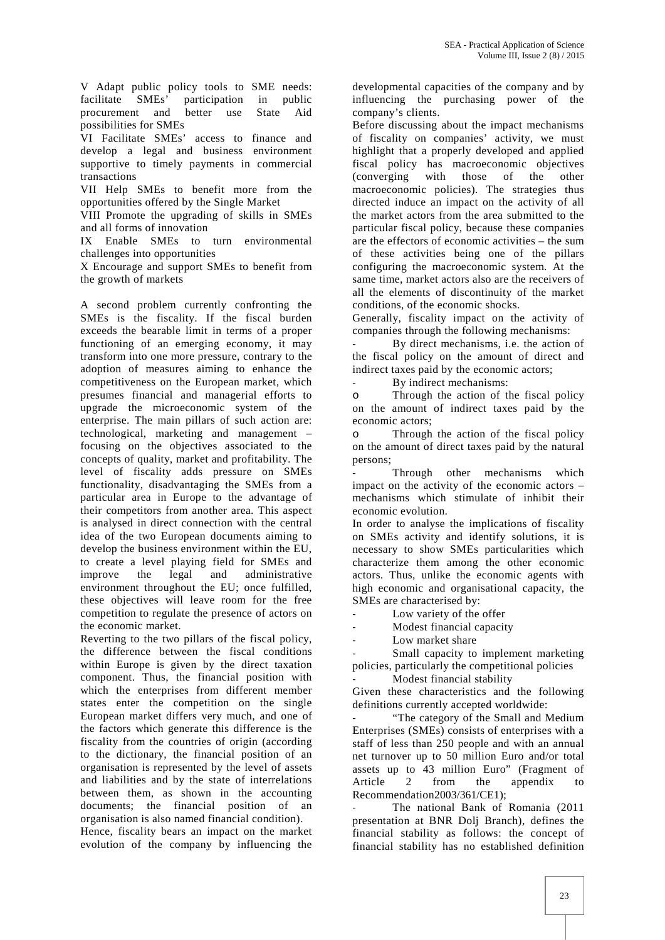V Adapt public policy tools to SME needs: facilitate SMEs' participation in public procurement and better use State Aid possibilities for SMEs

VI Facilitate SMEs' access to finance and develop a legal and business environment supportive to timely payments in commercial transactions

VII Help SMEs to benefit more from the opportunities offered by the Single Market

VIII Promote the upgrading of skills in SMEs and all forms of innovation

IX Enable SMEs to turn environmental challenges into opportunities

X Encourage and support SMEs to benefit from the growth of markets

A second problem currently confronting the SMEs is the fiscality. If the fiscal burden exceeds the bearable limit in terms of a proper functioning of an emerging economy, it may transform into one more pressure, contrary to the adoption of measures aiming to enhance the competitiveness on the European market, which presumes financial and managerial efforts to upgrade the microeconomic system of the enterprise. The main pillars of such action are: technological, marketing and management – focusing on the objectives associated to the concepts of quality, market and profitability. The level of fiscality adds pressure on SMEs functionality, disadvantaging the SMEs from a particular area in Europe to the advantage of their competitors from another area. This aspect is analysed in direct connection with the central idea of the two European documents aiming to develop the business environment within the EU, to create a level playing field for SMEs and improve the legal and administrative environment throughout the EU; once fulfilled, these objectives will leave room for the free competition to regulate the presence of actors on the economic market.

Reverting to the two pillars of the fiscal policy, the difference between the fiscal conditions within Europe is given by the direct taxation component. Thus, the financial position with which the enterprises from different member states enter the competition on the single European market differs very much, and one of the factors which generate this difference is the fiscality from the countries of origin (according to the dictionary, the financial position of an organisation is represented by the level of assets and liabilities and by the state of interrelations between them, as shown in the accounting documents; the financial position of an organisation is also named financial condition).

Hence, fiscality bears an impact on the market evolution of the company by influencing the

developmental capacities of the company and by influencing the purchasing power of the company's clients.

Before discussing about the impact mechanisms of fiscality on companies' activity, we must highlight that a properly developed and applied fiscal policy has macroeconomic objectives<br>(converging with those of the other (converging with those of the other macroeconomic policies). The strategies thus directed induce an impact on the activity of all the market actors from the area submitted to the particular fiscal policy, because these companies are the effectors of economic activities – the sum of these activities being one of the pillars configuring the macroeconomic system. At the same time, market actors also are the receivers of all the elements of discontinuity of the market conditions, of the economic shocks.

Generally, fiscality impact on the activity of companies through the following mechanisms:

By direct mechanisms, i.e. the action of the fiscal policy on the amount of direct and indirect taxes paid by the economic actors;

By indirect mechanisms:

Through the action of the fiscal policy on the amount of indirect taxes paid by the economic actors;

Through the action of the fiscal policy on the amount of direct taxes paid by the natural persons;

Through other mechanisms which impact on the activity of the economic actors – mechanisms which stimulate of inhibit their economic evolution.

In order to analyse the implications of fiscality on SMEs activity and identify solutions, it is necessary to show SMEs particularities which characterize them among the other economic actors. Thus, unlike the economic agents with high economic and organisational capacity, the SMEs are characterised by:

Low variety of the offer

Modest financial capacity

Low market share

Small capacity to implement marketing policies, particularly the competitional policies Modest financial stability

Given these characteristics and the following

definitions currently accepted worldwide: "The category of the Small and Medium Enterprises (SMEs) consists of enterprises with a staff of less than 250 people and with an annual net turnover up to 50 million Euro and/or total assets up to 43 million Euro" (Fragment of Article 2 from the annendix to Article 2 from the appendix to Recommendation2003/361/CE1);

The national Bank of Romania (2011) presentation at BNR Dolj Branch), defines the financial stability as follows: the concept of financial stability has no established definition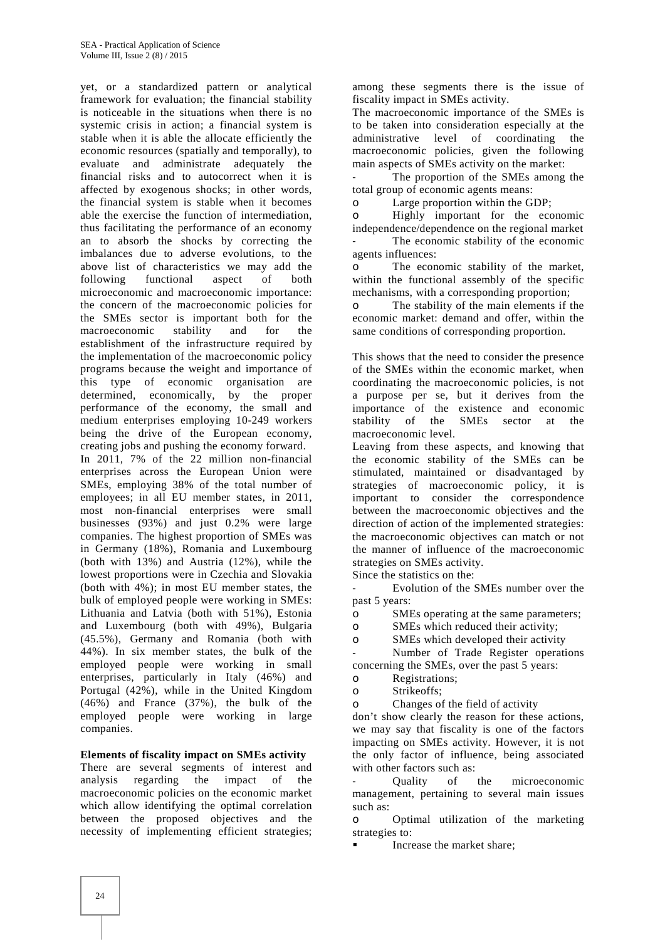yet, or a standardized pattern or analytical framework for evaluation; the financial stability is noticeable in the situations when there is no systemic crisis in action; a financial system is stable when it is able the allocate efficiently the economic resources (spatially and temporally), to evaluate and administrate adequately the financial risks and to autocorrect when it is affected by exogenous shocks; in other words, the financial system is stable when it becomes able the exercise the function of intermediation, thus facilitating the performance of an economy an to absorb the shocks by correcting the imbalances due to adverse evolutions, to the above list of characteristics we may add the following functional aspect of both microeconomic and macroeconomic importance: the concern of the macroeconomic policies for the SMEs sector is important both for the macroeconomic stability and for the establishment of the infrastructure required by the implementation of the macroeconomic policy programs because the weight and importance of this type of economic organisation are determined, economically, by the proper performance of the economy, the small and medium enterprises employing 10-249 workers being the drive of the European economy, creating jobs and pushing the economy forward. In 2011, 7% of the 22 million non-financial enterprises across the European Union were SMEs, employing 38% of the total number of employees; in all EU member states, in 2011, most non-financial enterprises were small businesses (93%) and just 0.2% were large companies. The highest proportion of SMEs was in Germany (18%), Romania and Luxembourg (both with 13%) and Austria (12%), while the lowest proportions were in Czechia and Slovakia (both with 4%); in most EU member states, the bulk of employed people were working in SMEs: Lithuania and Latvia (both with 51%), Estonia and Luxembourg (both with 49%), Bulgaria (45.5%), Germany and Romania (both with 44%). In six member states, the bulk of the employed people were working in small enterprises, particularly in Italy (46%) and Portugal (42%), while in the United Kingdom (46%) and France (37%), the bulk of the employed people were working in large companies.

#### **Elements of fiscality impact on SMEs activity**

There are several segments of interest and analysis regarding the impact of the macroeconomic policies on the economic market which allow identifying the optimal correlation between the proposed objectives and the necessity of implementing efficient strategies;

among these segments there is the issue of fiscality impact in SMEs activity.

The macroeconomic importance of the SMEs is to be taken into consideration especially at the administrative level of coordinating the macroeconomic policies, given the following main aspects of SMEs activity on the market:

The proportion of the SMEs among the total group of economic agents means:

o Large proportion within the GDP;

o Highly important for the economic independence/dependence on the regional market The economic stability of the economic agents influences:

o The economic stability of the market, within the functional assembly of the specific mechanisms, with a corresponding proportion;

o The stability of the main elements if the economic market: demand and offer, within the same conditions of corresponding proportion.

This shows that the need to consider the presence of the SMEs within the economic market, when coordinating the macroeconomic policies, is not a purpose per se, but it derives from the importance of the existence and economic stability of the SMEs sector at the macroeconomic level.

Leaving from these aspects, and knowing that the economic stability of the SMEs can be stimulated, maintained or disadvantaged by strategies of macroeconomic policy, it is important to consider the correspondence between the macroeconomic objectives and the direction of action of the implemented strategies: the macroeconomic objectives can match or not the manner of influence of the macroeconomic strategies on SMEs activity.

Since the statistics on the:

Evolution of the SMEs number over the past 5 years:

o SMEs operating at the same parameters;

o SMEs which reduced their activity;

SMEs which developed their activity

Number of Trade Register operations concerning the SMEs, over the past 5 years:

Registrations;

Strikeoffs;

o Changes of the field of activity

don't show clearly the reason for these actions, we may say that fiscality is one of the factors impacting on SMEs activity. However, it is not the only factor of influence, being associated with other factors such as:

- Quality of the microeconomic management, pertaining to several main issues such as:

o Optimal utilization of the marketing strategies to:

Increase the market share;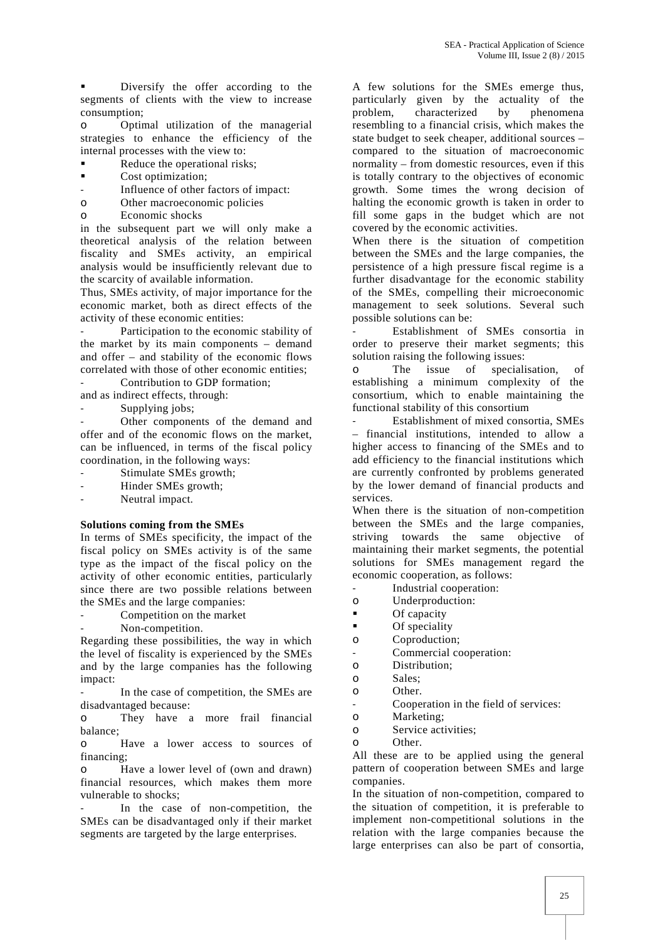Diversify the offer according to the segments of clients with the view to increase consumption;

o Optimal utilization of the managerial strategies to enhance the efficiency of the internal processes with the view to:

- Reduce the operational risks;
- Cost optimization;
- Influence of other factors of impact:
- o Other macroeconomic policies
- o Economic shocks

in the subsequent part we will only make a theoretical analysis of the relation between fiscality and SMEs activity, an empirical analysis would be insufficiently relevant due to the scarcity of available information.

Thus, SMEs activity, of major importance for the economic market, both as direct effects of the activity of these economic entities:

Participation to the economic stability of the market by its main components – demand and offer – and stability of the economic flows correlated with those of other economic entities;

Contribution to GDP formation:

and as indirect effects, through:

Supplying jobs;

Other components of the demand and offer and of the economic flows on the market, can be influenced, in terms of the fiscal policy coordination, in the following ways:

- Stimulate SMEs growth;
- Hinder SMEs growth;
- Neutral impact.

#### **Solutions coming from the SMEs**

In terms of SMEs specificity, the impact of the fiscal policy on SMEs activity is of the same type as the impact of the fiscal policy on the activity of other economic entities, particularly since there are two possible relations between the SMEs and the large companies:

Competition on the market

Non-competition.

Regarding these possibilities, the way in which the level of fiscality is experienced by the SMEs and by the large companies has the following impact:

In the case of competition, the SMEs are disadvantaged because:

o They have a more frail financial balance;

o Have a lower access to sources of financing;

o Have a lower level of (own and drawn) financial resources, which makes them more vulnerable to shocks;

In the case of non-competition, the SMEs can be disadvantaged only if their market segments are targeted by the large enterprises.

A few solutions for the SMEs emerge thus, particularly given by the actuality of the problem, characterized by phenomena resembling to a financial crisis, which makes the state budget to seek cheaper, additional sources – compared to the situation of macroeconomic normality – from domestic resources, even if this is totally contrary to the objectives of economic growth. Some times the wrong decision of halting the economic growth is taken in order to fill some gaps in the budget which are not covered by the economic activities.

When there is the situation of competition between the SMEs and the large companies, the persistence of a high pressure fiscal regime is a further disadvantage for the economic stability of the SMEs, compelling their microeconomic management to seek solutions. Several such possible solutions can be:

- Establishment of SMEs consortia in order to preserve their market segments; this solution raising the following issues:

o The issue of specialisation, of establishing a minimum complexity of the consortium, which to enable maintaining the functional stability of this consortium

- Establishment of mixed consortia, SMEs – financial institutions, intended to allow a higher access to financing of the SMEs and to add efficiency to the financial institutions which are currently confronted by problems generated by the lower demand of financial products and services.

When there is the situation of non-competition between the SMEs and the large companies, striving towards the same objective of maintaining their market segments, the potential solutions for SMEs management regard the economic cooperation, as follows:

- Industrial cooperation:
- o Underproduction:
- **Of capacity**
- **Of** speciality
- Coproduction:
- Commercial cooperation:
- Distribution:
- o Sales;
- o Other.
- Cooperation in the field of services:
- o Marketing;
- o Service activities;
- o Other.

All these are to be applied using the general pattern of cooperation between SMEs and large companies.

In the situation of non-competition, compared to the situation of competition, it is preferable to implement non-competitional solutions in the relation with the large companies because the large enterprises can also be part of consortia,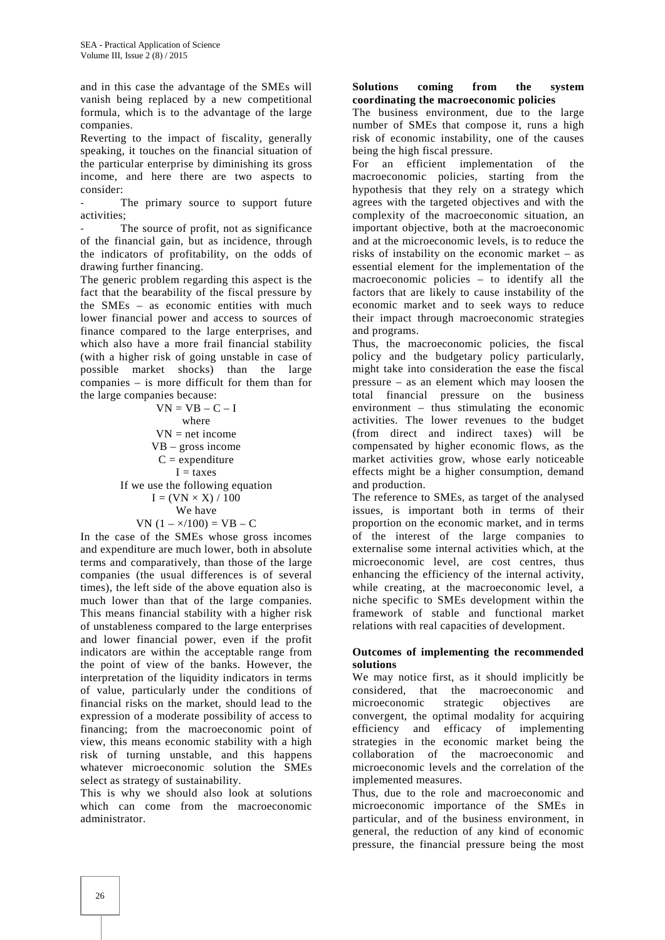and in this case the advantage of the SMEs will vanish being replaced by a new competitional formula, which is to the advantage of the large companies.

Reverting to the impact of fiscality, generally speaking, it touches on the financial situation of the particular enterprise by diminishing its gross income, and here there are two aspects to consider:

The primary source to support future activities;

The source of profit, not as significance of the financial gain, but as incidence, through the indicators of profitability, on the odds of drawing further financing.

The generic problem regarding this aspect is the fact that the bearability of the fiscal pressure by the SMEs – as economic entities with much lower financial power and access to sources of finance compared to the large enterprises, and which also have a more frail financial stability (with a higher risk of going unstable in case of possible market shocks) than the large companies – is more difficult for them than for the large companies because:

 $VN = VB - C - I$ where  $VN = net income$ VB – gross income  $C =$  expenditure  $I = \text{taxes}$ If we use the following equation  $I = (VN \times X) / 100$ We have VN  $(1 - x/100) = VB - C$ 

In the case of the SMEs whose gross incomes and expenditure are much lower, both in absolute terms and comparatively, than those of the large companies (the usual differences is of several times), the left side of the above equation also is much lower than that of the large companies. This means financial stability with a higher risk of unstableness compared to the large enterprises and lower financial power, even if the profit indicators are within the acceptable range from the point of view of the banks. However, the interpretation of the liquidity indicators in terms of value, particularly under the conditions of financial risks on the market, should lead to the expression of a moderate possibility of access to financing; from the macroeconomic point of view, this means economic stability with a high risk of turning unstable, and this happens whatever microeconomic solution the SMEs select as strategy of sustainability.

This is why we should also look at solutions which can come from the macroeconomic administrator.

#### **Solutions coming from the system coordinating the macroeconomic policies**

The business environment, due to the large number of SMEs that compose it, runs a high risk of economic instability, one of the causes being the high fiscal pressure.

For an efficient implementation of the macroeconomic policies, starting from the hypothesis that they rely on a strategy which agrees with the targeted objectives and with the complexity of the macroeconomic situation, an important objective, both at the macroeconomic and at the microeconomic levels, is to reduce the risks of instability on the economic market – as essential element for the implementation of the macroeconomic policies – to identify all the factors that are likely to cause instability of the economic market and to seek ways to reduce their impact through macroeconomic strategies and programs.

Thus, the macroeconomic policies, the fiscal policy and the budgetary policy particularly, might take into consideration the ease the fiscal pressure – as an element which may loosen the total financial pressure on the business environment – thus stimulating the economic activities. The lower revenues to the budget (from direct and indirect taxes) will be compensated by higher economic flows, as the market activities grow, whose early noticeable effects might be a higher consumption, demand and production.

The reference to SMEs, as target of the analysed issues, is important both in terms of their proportion on the economic market, and in terms of the interest of the large companies to externalise some internal activities which, at the microeconomic level, are cost centres, thus enhancing the efficiency of the internal activity, while creating, at the macroeconomic level, a niche specific to SMEs development within the framework of stable and functional market relations with real capacities of development.

## **Outcomes of implementing the recommended solutions**

We may notice first, as it should implicitly be considered, that the macroeconomic and microeconomic strategic objectives are convergent, the optimal modality for acquiring efficiency and efficacy of implementing strategies in the economic market being the collaboration of the macroeconomic and microeconomic levels and the correlation of the implemented measures.

Thus, due to the role and macroeconomic and microeconomic importance of the SMEs in particular, and of the business environment, in general, the reduction of any kind of economic pressure, the financial pressure being the most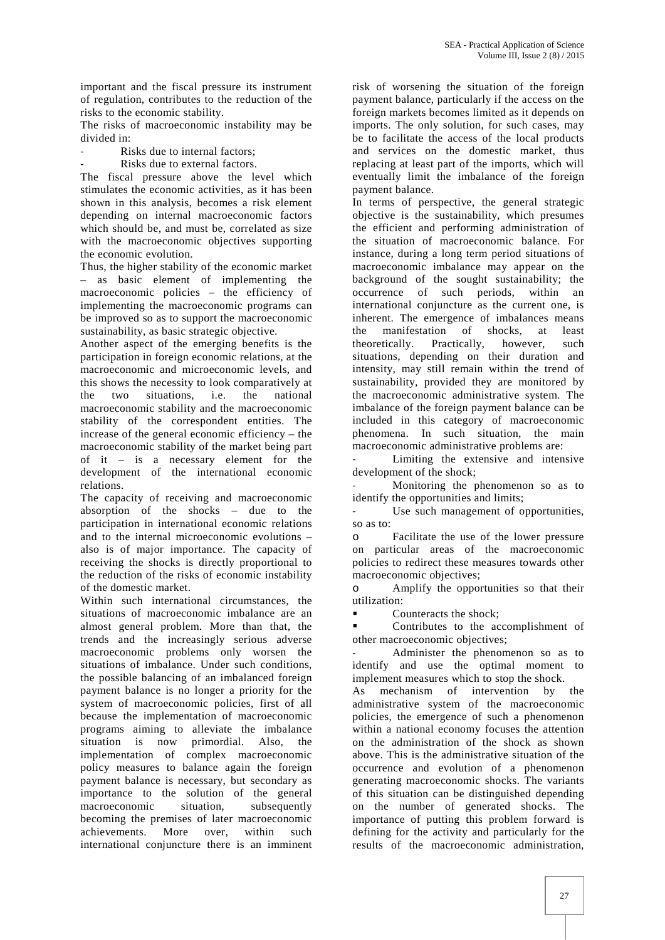important and the fiscal pressure its instrument of regulation, contributes to the reduction of the risks to the economic stability.

The risks of macroeconomic instability may be divided in:

- Risks due to internal factors:
- Risks due to external factors.

The fiscal pressure above the level which stimulates the economic activities, as it has been shown in this analysis, becomes a risk element depending on internal macroeconomic factors which should be, and must be, correlated as size with the macroeconomic objectives supporting the economic evolution.

Thus, the higher stability of the economic market – as basic element of implementing the macroeconomic policies – the efficiency of implementing the macroeconomic programs can be improved so as to support the macroeconomic sustainability, as basic strategic objective.

Another aspect of the emerging benefits is the participation in foreign economic relations, at the macroeconomic and microeconomic levels, and this shows the necessity to look comparatively at the two situations, i.e. the national macroeconomic stability and the macroeconomic stability of the correspondent entities. The increase of the general economic efficiency – the macroeconomic stability of the market being part of it – is a necessary element for the development of the international economic relations.

The capacity of receiving and macroeconomic absorption of the shocks – due to the participation in international economic relations and to the internal microeconomic evolutions – also is of major importance. The capacity of receiving the shocks is directly proportional to the reduction of the risks of economic instability of the domestic market.

Within such international circumstances, the situations of macroeconomic imbalance are an almost general problem. More than that, the trends and the increasingly serious adverse macroeconomic problems only worsen the situations of imbalance. Under such conditions, the possible balancing of an imbalanced foreign payment balance is no longer a priority for the system of macroeconomic policies, first of all because the implementation of macroeconomic programs aiming to alleviate the imbalance situation is now primordial. Also, the implementation of complex macroeconomic policy measures to balance again the foreign payment balance is necessary, but secondary as importance to the solution of the general macroeconomic situation, subsequently becoming the premises of later macroeconomic achievements. More over, within such international conjuncture there is an imminent

risk of worsening the situation of the foreign payment balance, particularly if the access on the foreign markets becomes limited as it depends on imports. The only solution, for such cases, may be to facilitate the access of the local products and services on the domestic market, thus replacing at least part of the imports, which will eventually limit the imbalance of the foreign payment balance.

In terms of perspective, the general strategic objective is the sustainability, which presumes the efficient and performing administration of the situation of macroeconomic balance. For instance, during a long term period situations of macroeconomic imbalance may appear on the background of the sought sustainability; the occurrence of such periods, within an international conjuncture as the current one, is inherent. The emergence of imbalances means the manifestation of shocks, at least theoretically. Practically, however, such situations, depending on their duration and intensity, may still remain within the trend of sustainability, provided they are monitored by the macroeconomic administrative system. The imbalance of the foreign payment balance can be included in this category of macroeconomic phenomena. In such situation, the main macroeconomic administrative problems are:

Limiting the extensive and intensive development of the shock;

Monitoring the phenomenon so as to identify the opportunities and limits;

Use such management of opportunities, so as to:

Facilitate the use of the lower pressure on particular areas of the macroeconomic policies to redirect these measures towards other macroeconomic objectives;

o Amplify the opportunities so that their utilization:

Counteracts the shock;

 Contributes to the accomplishment of other macroeconomic objectives;

Administer the phenomenon so as to identify and use the optimal moment to implement measures which to stop the shock.

As mechanism of intervention by the administrative system of the macroeconomic policies, the emergence of such a phenomenon within a national economy focuses the attention on the administration of the shock as shown above. This is the administrative situation of the occurrence and evolution of a phenomenon generating macroeconomic shocks. The variants of this situation can be distinguished depending on the number of generated shocks. The importance of putting this problem forward is defining for the activity and particularly for the results of the macroeconomic administration,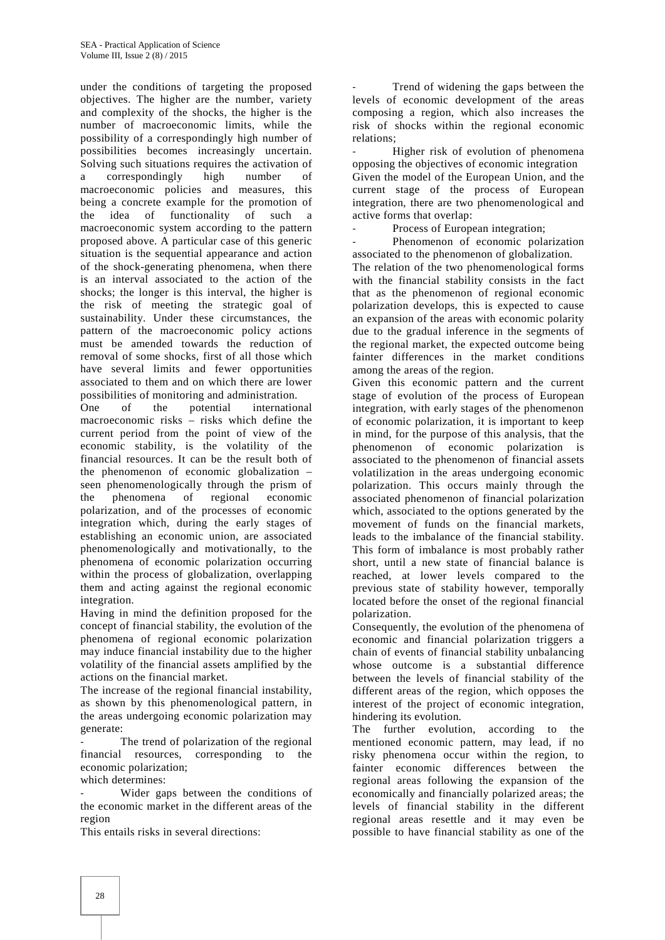under the conditions of targeting the proposed objectives. The higher are the number, variety and complexity of the shocks, the higher is the number of macroeconomic limits, while the possibility of a correspondingly high number of possibilities becomes increasingly uncertain. Solving such situations requires the activation of<br>a correspondingly high number of a correspondingly macroeconomic policies and measures, this being a concrete example for the promotion of the idea of functionality of such a macroeconomic system according to the pattern proposed above. A particular case of this generic situation is the sequential appearance and action of the shock-generating phenomena, when there is an interval associated to the action of the shocks; the longer is this interval, the higher is the risk of meeting the strategic goal of sustainability. Under these circumstances, the pattern of the macroeconomic policy actions must be amended towards the reduction of removal of some shocks, first of all those which have several limits and fewer opportunities associated to them and on which there are lower possibilities of monitoring and administration.

One of the potential international macroeconomic risks – risks which define the current period from the point of view of the economic stability, is the volatility of the financial resources. It can be the result both of the phenomenon of economic globalization – seen phenomenologically through the prism of the phenomena of regional economic polarization, and of the processes of economic integration which, during the early stages of establishing an economic union, are associated phenomenologically and motivationally, to the phenomena of economic polarization occurring within the process of globalization, overlapping them and acting against the regional economic integration.

Having in mind the definition proposed for the concept of financial stability, the evolution of the phenomena of regional economic polarization may induce financial instability due to the higher volatility of the financial assets amplified by the actions on the financial market.

The increase of the regional financial instability, as shown by this phenomenological pattern, in the areas undergoing economic polarization may generate:

The trend of polarization of the regional financial resources, corresponding to the economic polarization;

which determines:

Wider gaps between the conditions of the economic market in the different areas of the region

This entails risks in several directions:

Trend of widening the gaps between the levels of economic development of the areas composing a region, which also increases the risk of shocks within the regional economic relations;

Higher risk of evolution of phenomena opposing the objectives of economic integration Given the model of the European Union, and the current stage of the process of European integration, there are two phenomenological and active forms that overlap:

Process of European integration:

Phenomenon of economic polarization associated to the phenomenon of globalization.

The relation of the two phenomenological forms with the financial stability consists in the fact that as the phenomenon of regional economic polarization develops, this is expected to cause an expansion of the areas with economic polarity due to the gradual inference in the segments of the regional market, the expected outcome being fainter differences in the market conditions among the areas of the region.

Given this economic pattern and the current stage of evolution of the process of European integration, with early stages of the phenomenon of economic polarization, it is important to keep in mind, for the purpose of this analysis, that the phenomenon of economic polarization is associated to the phenomenon of financial assets volatilization in the areas undergoing economic polarization. This occurs mainly through the associated phenomenon of financial polarization which, associated to the options generated by the movement of funds on the financial markets, leads to the imbalance of the financial stability. This form of imbalance is most probably rather short, until a new state of financial balance is reached, at lower levels compared to the previous state of stability however, temporally located before the onset of the regional financial polarization.

Consequently, the evolution of the phenomena of economic and financial polarization triggers a chain of events of financial stability unbalancing whose outcome is a substantial difference between the levels of financial stability of the different areas of the region, which opposes the interest of the project of economic integration, hindering its evolution.

The further evolution, according to the mentioned economic pattern, may lead, if no risky phenomena occur within the region, to fainter economic differences between the regional areas following the expansion of the economically and financially polarized areas; the levels of financial stability in the different regional areas resettle and it may even be possible to have financial stability as one of the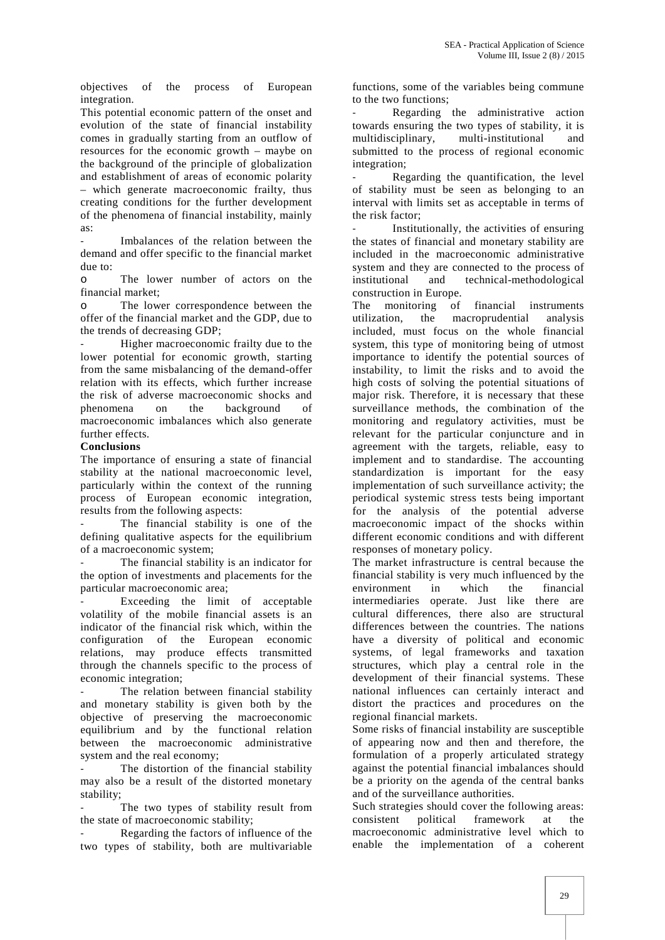objectives of the process of European integration.

This potential economic pattern of the onset and evolution of the state of financial instability comes in gradually starting from an outflow of resources for the economic growth – maybe on the background of the principle of globalization and establishment of areas of economic polarity – which generate macroeconomic frailty, thus creating conditions for the further development of the phenomena of financial instability, mainly as:

Imbalances of the relation between the demand and offer specific to the financial market due to:

o The lower number of actors on the financial market;

o The lower correspondence between the offer of the financial market and the GDP, due to the trends of decreasing GDP;

Higher macroeconomic frailty due to the lower potential for economic growth, starting from the same misbalancing of the demand-offer relation with its effects, which further increase the risk of adverse macroeconomic shocks and phenomena on the background of macroeconomic imbalances which also generate further effects.

## **Conclusions**

The importance of ensuring a state of financial stability at the national macroeconomic level, particularly within the context of the running process of European economic integration, results from the following aspects:

The financial stability is one of the defining qualitative aspects for the equilibrium of a macroeconomic system;

The financial stability is an indicator for the option of investments and placements for the particular macroeconomic area;

Exceeding the limit of acceptable volatility of the mobile financial assets is an indicator of the financial risk which, within the configuration of the European economic relations, may produce effects transmitted through the channels specific to the process of economic integration;

The relation between financial stability and monetary stability is given both by the objective of preserving the macroeconomic equilibrium and by the functional relation between the macroeconomic administrative system and the real economy;

The distortion of the financial stability may also be a result of the distorted monetary stability;

The two types of stability result from Such strate<br>of macroeconomic stability: consistent the state of macroeconomic stability;

Regarding the factors of influence of the two types of stability, both are multivariable

functions, some of the variables being commune to the two functions;

Regarding the administrative action towards ensuring the two types of stability, it is multidisciplinary, multi-institutional and submitted to the process of regional economic integration;

Regarding the quantification, the level of stability must be seen as belonging to an interval with limits set as acceptable in terms of the risk factor;

Institutionally, the activities of ensuring the states of financial and monetary stability are included in the macroeconomic administrative system and they are connected to the process of institutional and technical-methodological construction in Europe.

The monitoring of financial instruments the macroprudential analysis included, must focus on the whole financial system, this type of monitoring being of utmost importance to identify the potential sources of instability, to limit the risks and to avoid the high costs of solving the potential situations of major risk. Therefore, it is necessary that these surveillance methods, the combination of the monitoring and regulatory activities, must be relevant for the particular conjuncture and in agreement with the targets, reliable, easy to implement and to standardise. The accounting standardization is important for the easy implementation of such surveillance activity; the periodical systemic stress tests being important for the analysis of the potential adverse macroeconomic impact of the shocks within different economic conditions and with different responses of monetary policy.

The market infrastructure is central because the financial stability is very much influenced by the environment in which the financial intermediaries operate. Just like there are cultural differences, there also are structural differences between the countries. The nations have a diversity of political and economic systems, of legal frameworks and taxation structures, which play a central role in the development of their financial systems. These national influences can certainly interact and distort the practices and procedures on the regional financial markets.

Some risks of financial instability are susceptible of appearing now and then and therefore, the formulation of a properly articulated strategy against the potential financial imbalances should be a priority on the agenda of the central banks and of the surveillance authorities.

Such strategies should cover the following areas: political framework at the macroeconomic administrative level which to enable the implementation of a coherent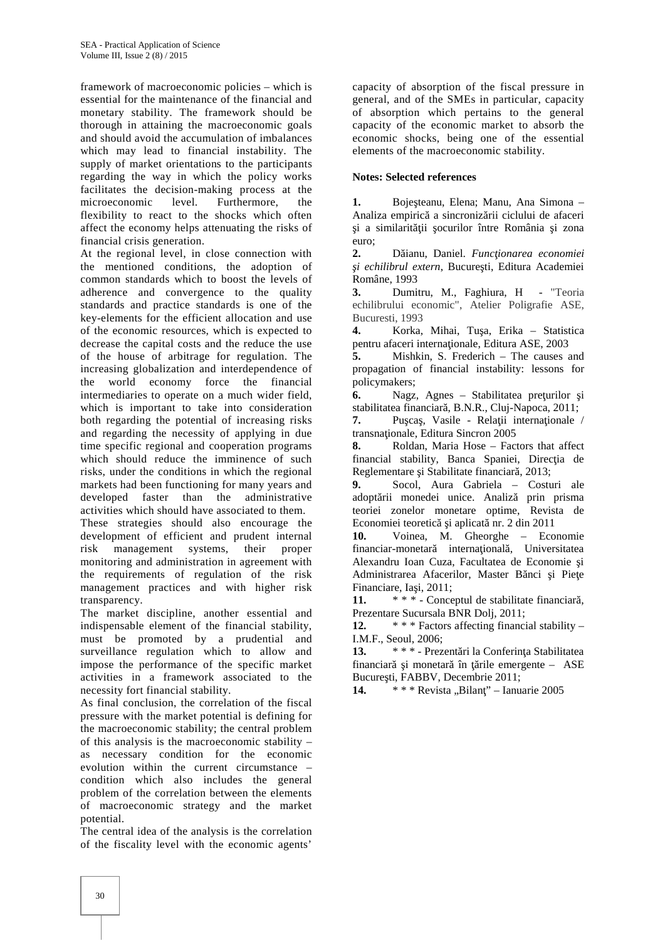framework of macroeconomic policies – which is essential for the maintenance of the financial and monetary stability. The framework should be thorough in attaining the macroeconomic goals and should avoid the accumulation of imbalances which may lead to financial instability. The supply of market orientations to the participants regarding the way in which the policy works facilitates the decision-making process at the microeconomic level. Furthermore, the microeconomic level. Furthermore, the flexibility to react to the shocks which often affect the economy helps attenuating the risks of financial crisis generation.

At the regional level, in close connection with 2. the mentioned conditions, the adoption of common standards which to boost the levels of adherence and convergence to the quality 3. standards and practice standards is one of the key-elements for the efficient allocation and use of the economic resources, which is expected to decrease the capital costs and the reduce the use of the house of arbitrage for regulation. The increasing globalization and interdependence of the world economy force the financial intermediaries to operate on a much wider field, which is important to take into consideration both regarding the potential of increasing risks and regarding the necessity of applying in due time specific regional and cooperation programs which should reduce the imminence of such risks, under the conditions in which the regional markets had been functioning for many years and 9. developed faster than the administrative activities which should have associated to them.

These strategies should also encourage the development of efficient and prudent internal risk management systems, their proper monitoring and administration in agreement with the requirements of regulation of the risk management practices and with higher risk transparency.

The market discipline, another essential and indispensable element of the financial stability, must be promoted by a prudential and surveillance regulation which to allow and 13. impose the performance of the specific market activities in a framework associated to the necessity fort financial stability.

As final conclusion, the correlation of the fiscal pressure with the market potential is defining for the macroeconomic stability; the central problem of this analysis is the macroeconomic stability – as necessary condition for the economic evolution within the current circumstance – condition which also includes the general problem of the correlation between the elements of macroeconomic strategy and the market potential.

The central idea of the analysis is the correlation of the fiscality level with the economic agents'

capacity of absorption of the fiscal pressure in general, and of the SMEs in particular, capacity of absorption which pertains to the general capacity of the economic market to absorb the economic shocks, being one of the essential elements of the macroeconomic stability.

#### **Notes: Selected references**

1. Boje teanu, Elena; Manu, Ana Simona – Analiza empiric a sincroniz rii ciclului de afaceri i a similarit ji ocurilor între România i zona euro;

**2.** Dăianu, Daniel. *Funcţionarea economiei i echilibrul extern*, Bucure ti, Editura Academiei Române, 1993

**3.** Dumitru, M., Faghiura, H - "Teoria echilibrului economic", Atelier Poligrafie ASE, Bucuresti, 1993

Korka, Mihai, Tu<sub>a</sub>, Erika – Statistica pentru afaceri interna ionale, Editura ASE, 2003

**5.** Mishkin, S. Frederich – The causes and propagation of financial instability: lessons for policymakers;

**6.** Nagz, Agnes – Stabilitatea pre urilor *i* stabilitatea financiar, B.N.R., Cluj-Napoca, 2011;

7. Pu ca, Vasile - Rela ii internationale / transna ionale, Editura Sincron 2005<br>8. Roldan, Maria Hose – Fac

**8.** Roldan, Maria Hose – Factors that affect financial stability, Banca Spaniei, Direc ia de Reglementare i Stabilitate financiar, 2013;

**9.** Socol, Aura Gabriela – Costuri ale adopt rii monedei unice. Analiz prin prisma teoriei zonelor monetare optime, Revista de Economiei teoretic i aplicat nr. 2 din 2011

**10.** Voinea, M. Gheorghe – Economie financiar-monetar international Universitatea Alexandru Ioan Cuza, Facultatea de Economie i Administrarea Afacerilor, Master B nci i Pie e Financiare, Ia i, 2011;

11. \*\*\* - Conceptul de stabilitate financiar, Prezentare Sucursala BNR Dolj, 2011;

**12.** \* \* \* Factors affecting financial stability – I.M.F., Seoul, 2006;

\* \* \* - Prezent ri la Conferin a Stabilitatea financiar i monetar în rile emergente –  $ASE$ Bucure ti, FABBV, Decembrie 2011;

**14.** \* \* \* Revista "Bilan" – Ianuarie 2005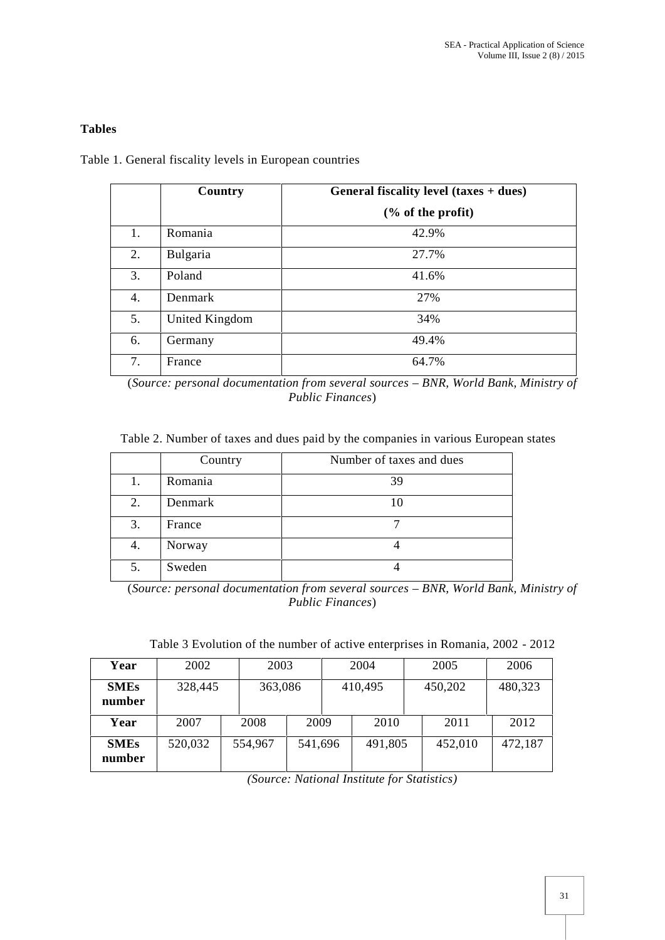# **Tables**

Table 1. General fiscality levels in European countries

|    | Country        | General fiscality level $(taxes + dues)$ |  |  |  |  |  |  |
|----|----------------|------------------------------------------|--|--|--|--|--|--|
|    |                | % of the profit                          |  |  |  |  |  |  |
| 1. | Romania        | 42.9%                                    |  |  |  |  |  |  |
| 2. | Bulgaria       | 27.7%                                    |  |  |  |  |  |  |
| 3. | Poland         | 41.6%                                    |  |  |  |  |  |  |
| 4. | Denmark        | 27%                                      |  |  |  |  |  |  |
| 5. | United Kingdom | 34%                                      |  |  |  |  |  |  |
| 6. | Germany        | 49.4%                                    |  |  |  |  |  |  |
| 7. | France         | 64.7%                                    |  |  |  |  |  |  |

(*Source: personal documentation from several sources – BNR, World Bank, Ministry of Public Finances*)

Table 2. Number of taxes and dues paid by the companies in various European states

|    | Country | Number of taxes and dues |
|----|---------|--------------------------|
| 1. | Romania | 39                       |
| 2. | Denmark | 10                       |
| 3. | France  |                          |
| 4. | Norway  |                          |
| 5. | Sweden  |                          |

<sup>(</sup>*Source: personal documentation from several sources – BNR, World Bank, Ministry of Public Finances*)

Table 3 Evolution of the number of active enterprises in Romania, 2002 - 2012

| Year                  | 2002    |         | 2003    |  | 2004    |  | 2005    | 2006    |
|-----------------------|---------|---------|---------|--|---------|--|---------|---------|
| <b>SMEs</b><br>number | 328,445 |         | 363,086 |  | 410,495 |  | 450,202 | 480,323 |
| Year                  | 2007    | 2008    | 2009    |  | 2010    |  | 2011    | 2012    |
| <b>SMEs</b><br>number | 520,032 | 554,967 | 541,696 |  | 491,805 |  | 452,010 | 472,187 |

*(Source: National Institute for Statistics)*